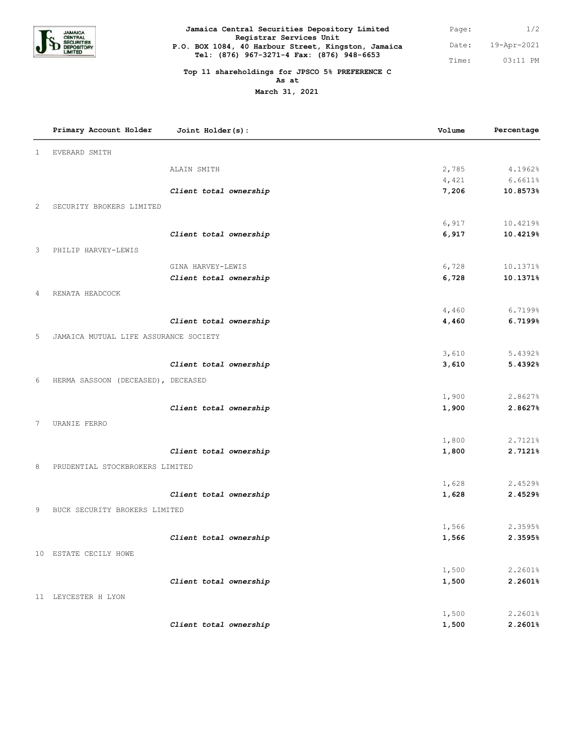

| Jamaica Central Securities Depository Limited                                                    | Page: | 1/2         |
|--------------------------------------------------------------------------------------------------|-------|-------------|
| Registrar Services Unit                                                                          |       | 19-Apr-2021 |
| P.O. BOX 1084, 40 Harbour Street, Kingston, Jamaica<br>Tel: (876) 967-3271-4 Fax: (876) 948-6653 | Date: |             |
|                                                                                                  | Time: | 03:11 PM    |

## **Top 11 shareholdings for JPSCO 5% PREFERENCE C As at**

**March 31, 2021**

|              | Primary Account Holder<br>Joint Holder(s): | Volume | Percentage |
|--------------|--------------------------------------------|--------|------------|
| $\mathbf{1}$ | <b>EVERARD SMITH</b>                       |        |            |
|              | ALAIN SMITH                                | 2,785  | 4.1962%    |
|              |                                            | 4,421  | 6.6611%    |
|              | Client total ownership                     | 7,206  | 10.8573%   |
| 2            | SECURITY BROKERS LIMITED                   |        |            |
|              |                                            | 6,917  | 10.4219%   |
|              | Client total ownership                     | 6,917  | 10.4219%   |
| 3            | PHILIP HARVEY-LEWIS                        |        |            |
|              | GINA HARVEY-LEWIS                          | 6,728  | 10.1371%   |
|              | Client total ownership                     | 6,728  | 10.1371%   |
| 4            | RENATA HEADCOCK                            |        |            |
|              |                                            | 4,460  | 6.7199%    |
|              | Client total ownership                     | 4,460  | 6.7199%    |
| 5            | JAMAICA MUTUAL LIFE ASSURANCE SOCIETY      |        |            |
|              |                                            | 3,610  | 5.4392%    |
|              | Client total ownership                     | 3,610  | 5.4392%    |
| 6            | HERMA SASSOON (DECEASED), DECEASED         |        |            |
|              |                                            | 1,900  | 2.8627%    |
|              | Client total ownership                     | 1,900  | 2.8627%    |
| 7            | URANIE FERRO                               |        |            |
|              |                                            | 1,800  | 2.7121%    |
|              | Client total ownership                     | 1,800  | 2.7121%    |
| 8            | PRUDENTIAL STOCKBROKERS LIMITED            |        |            |
|              |                                            | 1,628  | 2.4529%    |
|              | Client total ownership                     | 1,628  | 2.4529%    |
| 9            | BUCK SECURITY BROKERS LIMITED              |        |            |
|              |                                            | 1,566  | 2.3595%    |
|              | Client total ownership                     | 1,566  | 2.3595%    |
|              | 10 ESTATE CECILY HOWE                      |        |            |
|              |                                            | 1,500  | 2.2601%    |
|              | Client total ownership                     | 1,500  | 2.2601%    |
|              | 11 LEYCESTER H LYON                        |        |            |
|              |                                            | 1,500  | 2.2601%    |
|              | Client total ownership                     | 1,500  | 2.2601%    |